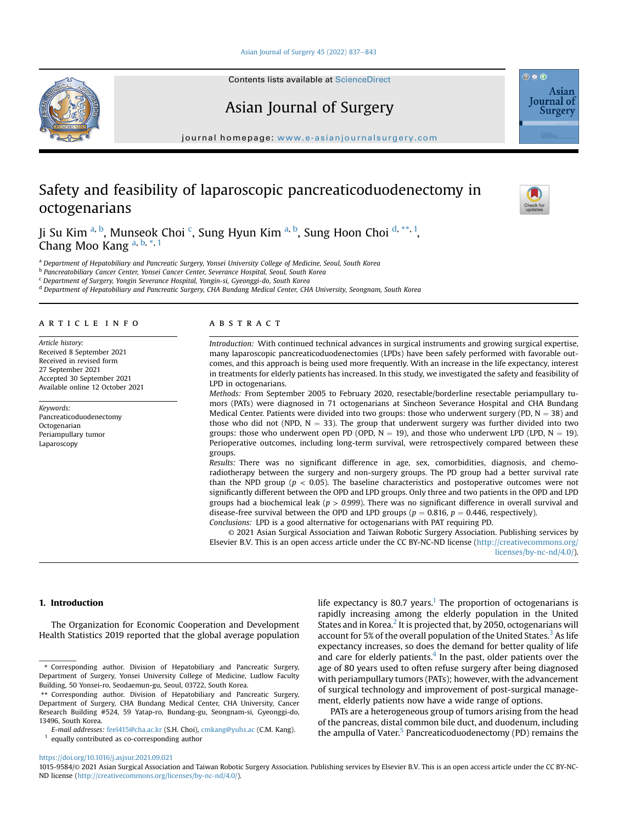## [Asian Journal of Surgery 45 \(2022\) 837](https://doi.org/10.1016/j.asjsur.2021.09.021)-[843](https://doi.org/10.1016/j.asjsur.2021.09.021)

Contents lists available at ScienceDirect



journal homepage: <www.e-asianjournalsurgery.com>

# Safety and feasibility of laparoscopic pancreaticoduodenectomy in octogenarians



<span id="page-0-0"></span>a Department of Hepatobiliary and Pancreatic Surgery, Yonsei University College of Medicine, Seoul, South Korea

<span id="page-0-1"></span>b Pancreatobiliary Cancer Center, Yonsei Cancer Center, Severance Hospital, Seoul, South Korea

<span id="page-0-2"></span><sup>c</sup> Department of Surgery, Yongin Severance Hospital, Yongin-si, Gyeonggi-do, South Korea

<span id="page-0-3"></span><sup>d</sup> Department of Hepatobiliary and Pancreatic Surgery, CHA Bundang Medical Center, CHA University, Seongnam, South Korea

# article info

Article history: Received 8 September 2021 Received in revised form 27 September 2021 Accepted 30 September 2021 Available online 12 October 2021

Keywords: Pancreaticoduodenectomy Octogenarian Periampullary tumor Laparoscopy

# **ABSTRACT**

Introduction: With continued technical advances in surgical instruments and growing surgical expertise, many laparoscopic pancreaticoduodenectomies (LPDs) have been safely performed with favorable outcomes, and this approach is being used more frequently. With an increase in the life expectancy, interest in treatments for elderly patients has increased. In this study, we investigated the safety and feasibility of LPD in octogenarians.

Methods: From September 2005 to February 2020, resectable/borderline resectable periampullary tumors (PATs) were diagnosed in 71 octogenarians at Sincheon Severance Hospital and CHA Bundang Medical Center. Patients were divided into two groups: those who underwent surgery (PD,  $N = 38$ ) and those who did not (NPD,  $N = 33$ ). The group that underwent surgery was further divided into two groups: those who underwent open PD (OPD,  $N = 19$ ), and those who underwent LPD (LPD,  $N = 19$ ). Perioperative outcomes, including long-term survival, were retrospectively compared between these groups.

Results: There was no significant difference in age, sex, comorbidities, diagnosis, and chemoradiotherapy between the surgery and non-surgery groups. The PD group had a better survival rate than the NPD group ( $p < 0.05$ ). The baseline characteristics and postoperative outcomes were not significantly different between the OPD and LPD groups. Only three and two patients in the OPD and LPD groups had a biochemical leak ( $p > 0.999$ ). There was no significant difference in overall survival and disease-free survival between the OPD and LPD groups ( $p = 0.816$ ,  $p = 0.446$ , respectively). Conclusions: LPD is a good alternative for octogenarians with PAT requiring PD.

© 2021 Asian Surgical Association and Taiwan Robotic Surgery Association. Publishing services by Elsevier B.V. This is an open access article under the CC BY-NC-ND license ([http://creativecommons.org/](http://creativecommons.org/licenses/by-nc-nd/4.0/) [licenses/by-nc-nd/4.0/](http://creativecommons.org/licenses/by-nc-nd/4.0/)).

#### 1. Introduction

The Organization for Economic Cooperation and Development Health Statistics 2019 reported that the global average population

<span id="page-0-5"></span> $^1\,$  equally contributed as co-corresponding author

life expectancy is 80.7 years.<sup>[1](#page-5-0)</sup> The proportion of octogenarians is rapidly increasing among the elderly population in the United States and in Korea. $2$  It is projected that, by 2050, octogenarians will account for 5% of the overall population of the United States.<sup>[3](#page-5-2)</sup> As life expectancy increases, so does the demand for better quality of life and care for elderly patients.<sup>4</sup> In the past, older patients over the age of 80 years used to often refuse surgery after being diagnosed with periampullary tumors (PATs); however, with the advancement of surgical technology and improvement of post-surgical management, elderly patients now have a wide range of options.

PATs are a heterogeneous group of tumors arising from the head of the pancreas, distal common bile duct, and duodenum, including the ampulla of Vater.<sup>[5](#page-5-4)</sup> Pancreaticoduodenectomy (PD) remains the

# <https://doi.org/10.1016/j.asjsur.2021.09.021>







<span id="page-0-6"></span><sup>\*</sup> Corresponding author. Division of Hepatobiliary and Pancreatic Surgery, Department of Surgery, Yonsei University College of Medicine, Ludlow Faculty Building, 50 Yonsei-ro, Seodaemun-gu, Seoul, 03722, South Korea.

<span id="page-0-4"></span><sup>\*\*</sup> Corresponding author. Division of Hepatobiliary and Pancreatic Surgery, Department of Surgery, CHA Bundang Medical Center, CHA University, Cancer Research Building #524, 59 Yatap-ro, Bundang-gu, Seongnam-si, Gyeonggi-do, 13496, South Korea.

E-mail addresses: [feel415@cha.ac.kr](mailto:feel415@cha.ac.kr) (S.H. Choi), [cmkang@yuhs.ac](mailto:cmkang@yuhs.ac) (C.M. Kang).

<sup>1015-9584/</sup>© 2021 Asian Surgical Association and Taiwan Robotic Surgery Association. Publishing services by Elsevier B.V. This is an open access article under the CC BY-NC-ND license ([http://creativecommons.org/licenses/by-nc-nd/4.0/\)](http://creativecommons.org/licenses/by-nc-nd/4.0/).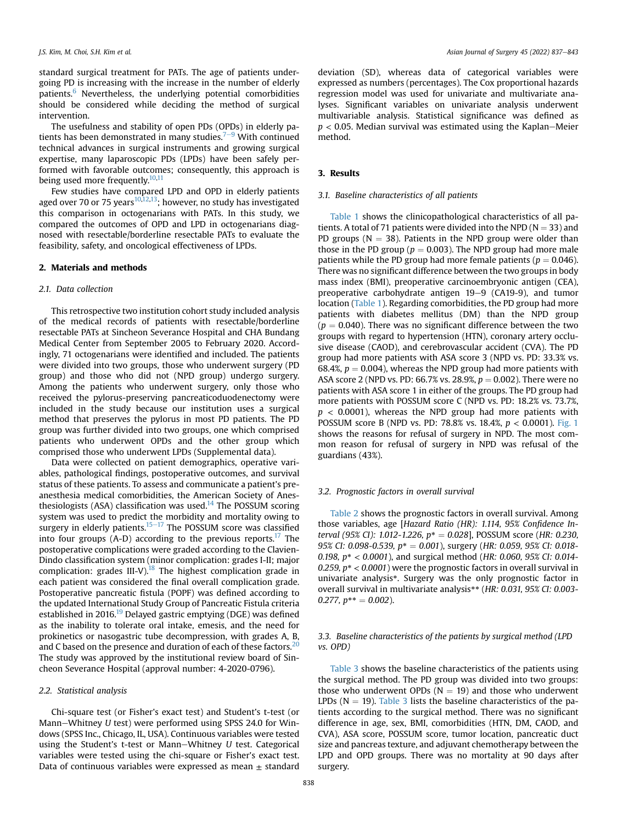standard surgical treatment for PATs. The age of patients undergoing PD is increasing with the increase in the number of elderly patients. $6$  Nevertheless, the underlying potential comorbidities should be considered while deciding the method of surgical intervention.

The usefulness and stability of open PDs (OPDs) in elderly patients has been demonstrated in many studies.<sup> $7-9$  $7-9$  $7-9$ </sup> With continued technical advances in surgical instruments and growing surgical expertise, many laparoscopic PDs (LPDs) have been safely performed with favorable outcomes; consequently, this approach is being used more frequently.<sup>10,[11](#page-6-1)</sup>

Few studies have compared LPD and OPD in elderly patients aged over 70 or 75 years<sup>[10](#page-6-0)[,12](#page-6-2),13</sup>; however, no study has investigated this comparison in octogenarians with PATs. In this study, we compared the outcomes of OPD and LPD in octogenarians diagnosed with resectable/borderline resectable PATs to evaluate the feasibility, safety, and oncological effectiveness of LPDs.

### 2. Materials and methods

#### 2.1. Data collection

This retrospective two institution cohort study included analysis of the medical records of patients with resectable/borderline resectable PATs at Sincheon Severance Hospital and CHA Bundang Medical Center from September 2005 to February 2020. Accordingly, 71 octogenarians were identified and included. The patients were divided into two groups, those who underwent surgery (PD group) and those who did not (NPD group) undergo surgery. Among the patients who underwent surgery, only those who received the pylorus-preserving pancreaticoduodenectomy were included in the study because our institution uses a surgical method that preserves the pylorus in most PD patients. The PD group was further divided into two groups, one which comprised patients who underwent OPDs and the other group which comprised those who underwent LPDs (Supplemental data).

Data were collected on patient demographics, operative variables, pathological findings, postoperative outcomes, and survival status of these patients. To assess and communicate a patient's preanesthesia medical comorbidities, the American Society of Anes-thesiologists (ASA) classification was used.<sup>[14](#page-6-4)</sup> The POSSUM scoring system was used to predict the morbidity and mortality owing to surgery in elderly patients. $15-17$  $15-17$  $15-17$  The POSSUM score was classified into four groups (A-D) according to the previous reports.<sup>[17](#page-6-6)</sup> The postoperative complications were graded according to the Clavien-Dindo classification system (minor complication: grades I-II; major complication: grades III-V).<sup>18</sup> The highest complication grade in each patient was considered the final overall complication grade. Postoperative pancreatic fistula (POPF) was defined according to the updated International Study Group of Pancreatic Fistula criteria established in 2016.<sup>19</sup> Delayed gastric emptying (DGE) was defined as the inability to tolerate oral intake, emesis, and the need for prokinetics or nasogastric tube decompression, with grades A, B, and C based on the presence and duration of each of these factors.<sup>[20](#page-6-9)</sup> The study was approved by the institutional review board of Sincheon Severance Hospital (approval number: 4-2020-0796).

#### 2.2. Statistical analysis

Chi-square test (or Fisher's exact test) and Student's t-test (or Mann-Whitney  $U$  test) were performed using SPSS 24.0 for Windows (SPSS Inc., Chicago, IL, USA). Continuous variables were tested using the Student's t-test or Mann-Whitney  $U$  test. Categorical variables were tested using the chi-square or Fisher's exact test. Data of continuous variables were expressed as mean  $\pm$  standard deviation (SD), whereas data of categorical variables were expressed as numbers (percentages). The Cox proportional hazards regression model was used for univariate and multivariate analyses. Significant variables on univariate analysis underwent multivariable analysis. Statistical significance was defined as  $p < 0.05$ . Median survival was estimated using the Kaplan–Meier method.

## 3. Results

#### 3.1. Baseline characteristics of all patients

[Table 1](#page-2-0) shows the clinicopathological characteristics of all patients. A total of 71 patients were divided into the NPD ( $N = 33$ ) and PD groups ( $N = 38$ ). Patients in the NPD group were older than those in the PD group ( $p = 0.003$ ). The NPD group had more male patients while the PD group had more female patients ( $p = 0.046$ ). There was no significant difference between the two groups in body mass index (BMI), preoperative carcinoembryonic antigen (CEA), preoperative carbohydrate antigen 19-9 (CA19-9), and tumor location ([Table 1](#page-2-0)). Regarding comorbidities, the PD group had more patients with diabetes mellitus (DM) than the NPD group  $(p = 0.040)$ . There was no significant difference between the two groups with regard to hypertension (HTN), coronary artery occlusive disease (CAOD), and cerebrovascular accident (CVA). The PD group had more patients with ASA score 3 (NPD vs. PD: 33.3% vs. 68.4%,  $p = 0.004$ ), whereas the NPD group had more patients with ASA score 2 (NPD vs. PD: 66.7% vs. 28.9%,  $p = 0.002$ ). There were no patients with ASA score 1 in either of the groups. The PD group had more patients with POSSUM score C (NPD vs. PD: 18.2% vs. 73.7%,  $p < 0.0001$ ), whereas the NPD group had more patients with POSSUM score B (NPD vs. PD: 78.8% vs. 18.4%, p < 0.0001). [Fig. 1](#page-2-1) shows the reasons for refusal of surgery in NPD. The most common reason for refusal of surgery in NPD was refusal of the guardians (43%).

### 3.2. Prognostic factors in overall survival

[Table 2](#page-3-0) shows the prognostic factors in overall survival. Among those variables, age [Hazard Ratio (HR): 1.114, 95% Confidence Interval (95% CI): 1.012-1.226,  $p^* = 0.028$ ], POSSUM score (HR: 0.230, 95% CI: 0.098-0.539,  $p^* = 0.001$ ), surgery (HR: 0.059, 95% CI: 0.018-0.198,  $p^* < 0.0001$ ), and surgical method (HR: 0.060, 95% CI: 0.014-0.259,  $p^* < 0.0001$ ) were the prognostic factors in overall survival in univariate analysis\*. Surgery was the only prognostic factor in overall survival in multivariate analysis\*\* (HR: 0.031, 95% CI: 0.003- 0.277,  $p^{**} = 0.002$ ).

# 3.3. Baseline characteristics of the patients by surgical method (LPD vs. OPD)

[Table 3](#page-3-1) shows the baseline characteristics of the patients using the surgical method. The PD group was divided into two groups: those who underwent OPDs ( $N = 19$ ) and those who underwent LPDs ( $N = 19$ ). [Table 3](#page-3-1) lists the baseline characteristics of the patients according to the surgical method. There was no significant difference in age, sex, BMI, comorbidities (HTN, DM, CAOD, and CVA), ASA score, POSSUM score, tumor location, pancreatic duct size and pancreas texture, and adjuvant chemotherapy between the LPD and OPD groups. There was no mortality at 90 days after surgery.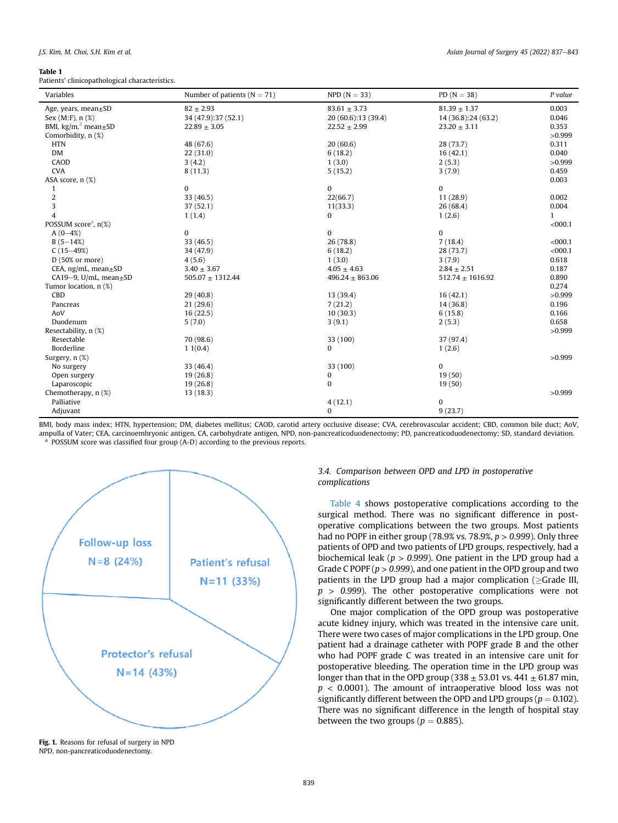#### <span id="page-2-0"></span>Table 1

Patients' clinicopathological characteristics.

| Variables                           | Number of patients ( $N = 71$ ) | $NPD (N = 33)$      | PD $(N = 38)$        | P value      |
|-------------------------------------|---------------------------------|---------------------|----------------------|--------------|
| Age, years, $mean \pm SD$           | $82 \pm 2.93$                   | $83.61 \pm 3.73$    | $81.39 \pm 1.37$     | 0.003        |
| Sex $(M: F)$ , n $(\%)$             | 34 (47.9):37 (52.1)             | 20 (60.6):13 (39.4) | 14 (36.8):24 (63.2)  | 0.046        |
| BMI, $\text{kg/m}^2$ mean $\pm$ SD  | $22.89 \pm 3.05$                | $22.52 \pm 2.99$    | $23.20 \pm 3.11$     | 0.353        |
| Comorbidity, n (%)                  |                                 |                     |                      | >0.999       |
| <b>HTN</b>                          | 48 (67.6)                       | 20(60.6)            | 28 (73.7)            | 0.311        |
| DM                                  | 22(31.0)                        | 6(18.2)             | 16(42.1)             | 0.040        |
| CAOD                                | 3(4.2)                          | 1(3.0)              | 2(5.3)               | >0.999       |
| <b>CVA</b>                          | 8(11.3)                         | 5(15.2)             | 3(7.9)               | 0.459        |
| ASA score, n (%)                    |                                 |                     |                      | 0.003        |
| 1                                   | $\mathbf{0}$                    | $\mathbf{0}$        | $\mathbf{0}$         |              |
| $\boldsymbol{2}$                    | 33 (46.5)                       | 22(66.7)            | 11(28.9)             | 0.002        |
| 3                                   | 37 (52.1)                       | 11(33.3)            | 26(68.4)             | 0.004        |
| $\overline{4}$                      | 1(1.4)                          | 0                   | 1(2.6)               | $\mathbf{1}$ |
| POSSUM score <sup>a</sup> , $n(\%)$ |                                 |                     |                      | $<$ 000.1    |
| $A(0-4%)$                           | $\mathbf{0}$                    | $\mathbf{0}$        | $\mathbf{0}$         |              |
| $B(5-14%)$                          | 33 (46.5)                       | 26 (78.8)           | 7(18.4)              | $<$ 000.1    |
| $C(15-49%)$                         | 34 (47.9)                       | 6(18.2)             | 28 (73.7)            | $<$ 000.1    |
| $D(50\% \text{ or more})$           | 4(5.6)                          | 1(3.0)              | 3(7.9)               | 0.618        |
| CEA, ng/mL, mean $\pm$ SD           | $3.40 \pm 3.67$                 | $4.05 \pm 4.63$     | $2.84 \pm 2.51$      | 0.187        |
| CA19-9, U/mL, mean $\pm$ SD         | $505.07 \pm 1312.44$            | $496.24 \pm 863.06$ | $512.74 \pm 1616.92$ | 0.890        |
| Tumor location, n (%)               |                                 |                     |                      | 0.274        |
| CBD                                 | 29(40.8)                        | 13 (39.4)           | 16(42.1)             | >0.999       |
| Pancreas                            | 21(29.6)                        | 7(21.2)             | 14(36.8)             | 0.196        |
| AoV                                 | 16(22.5)                        | 10(30.3)            | 6(15.8)              | 0.166        |
| Duodenum                            | 5(7.0)                          | 3(9.1)              | 2(5.3)               | 0.658        |
| Resectability, n (%)                |                                 |                     |                      | >0.999       |
| Resectable                          | 70 (98.6)                       | 33 (100)            | 37 (97.4)            |              |
| Borderline                          | 11(0.4)                         | 0                   | 1(2.6)               |              |
| Surgery, n (%)                      |                                 |                     |                      | >0.999       |
| No surgery                          | 33 (46.4)                       | 33 (100)            | $\bf{0}$             |              |
| Open surgery                        | 19(26.8)                        | 0                   | 19(50)               |              |
| Laparoscopic                        | 19(26.8)                        | $\bf{0}$            | 19(50)               |              |
| Chemotherapy, n (%)                 | 13(18.3)                        |                     |                      | >0.999       |
| Palliative                          |                                 | 4(12.1)             | $\mathbf{0}$         |              |
| Adjuvant                            |                                 | 0                   | 9(23.7)              |              |

<span id="page-2-2"></span>BMI, body mass index; HTN, hypertension; DM, diabetes mellitus; CAOD, carotid artery occlusive disease; CVA, cerebrovascular accident; CBD, common bile duct; AoV, ampulla of Vater; CEA, carcinoembryonic antigen, CA, carbohydrate antigen, NPD, non-pancreaticoduodenectomy; PD, pancreaticoduodenectomy; SD, standard deviation.  $a<sup>a</sup>$  POSSUM score was classified four group (A-D) according to the previous reports.

<span id="page-2-1"></span>

Fig. 1. Reasons for refusal of surgery in NPD NPD, non-pancreaticoduodenectomy.

# 3.4. Comparison between OPD and LPD in postoperative complications

[Table 4](#page-4-0) shows postoperative complications according to the surgical method. There was no significant difference in postoperative complications between the two groups. Most patients had no POPF in either group (78.9% vs. 78.9%,  $p > 0.999$ ). Only three patients of OPD and two patients of LPD groups, respectively, had a biochemical leak ( $p > 0.999$ ). One patient in the LPD group had a Grade C POPF ( $p > 0.999$ ), and one patient in the OPD group and two patients in the LPD group had a major complication ( $\geq$ Grade III,  $p > 0.999$ ). The other postoperative complications were not significantly different between the two groups.

One major complication of the OPD group was postoperative acute kidney injury, which was treated in the intensive care unit. There were two cases of major complications in the LPD group. One patient had a drainage catheter with POPF grade B and the other who had POPF grade C was treated in an intensive care unit for postoperative bleeding. The operation time in the LPD group was longer than that in the OPD group (338  $\pm$  53.01 vs. 441  $\pm$  61.87 min,  $p < 0.0001$ ). The amount of intraoperative blood loss was not significantly different between the OPD and LPD groups ( $p = 0.102$ ). There was no significant difference in the length of hospital stay between the two groups ( $p = 0.885$ ).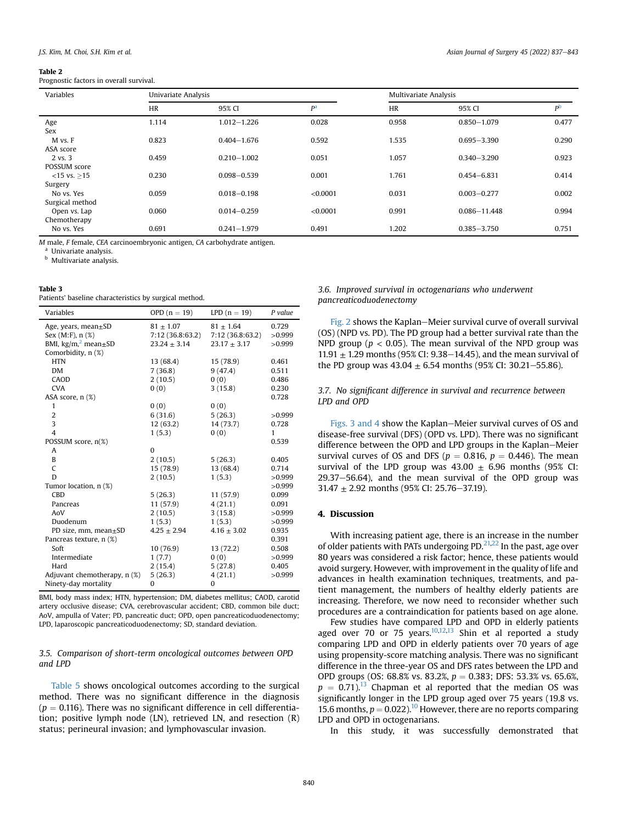#### <span id="page-3-0"></span>Table 2

Prognostic factors in overall survival.

| Variables                     |           | Univariate Analysis |                |           | Multivariate Analysis |                |  |
|-------------------------------|-----------|---------------------|----------------|-----------|-----------------------|----------------|--|
|                               | <b>HR</b> | 95% CI              | P <sup>a</sup> | <b>HR</b> | 95% CI                | P <sub>b</sub> |  |
| Age<br>Sex                    | 1.114     | $1.012 - 1.226$     | 0.028          | 0.958     | $0.850 - 1.079$       | 0.477          |  |
| M vs. F<br>ASA score          | 0.823     | $0.404 - 1.676$     | 0.592          | 1.535     | $0.695 - 3.390$       | 0.290          |  |
| 2 vs. 3<br>POSSUM score       | 0.459     | $0.210 - 1.002$     | 0.051          | 1.057     | $0.340 - 3.290$       | 0.923          |  |
| $<$ 15 vs. >15<br>Surgery     | 0.230     | $0.098 - 0.539$     | 0.001          | 1.761     | $0.454 - 6.831$       | 0.414          |  |
| No vs. Yes<br>Surgical method | 0.059     | $0.018 - 0.198$     | < 0.0001       | 0.031     | $0.003 - 0.277$       | 0.002          |  |
| Open vs. Lap<br>Chemotherapy  | 0.060     | $0.014 - 0.259$     | < 0.0001       | 0.991     | $0.086 - 11.448$      | 0.994          |  |
| No vs. Yes                    | 0.691     | $0.241 - 1.979$     | 0.491          | 1.202     | $0.385 - 3.750$       | 0.751          |  |

M male, F female, CEA carcinoembryonic antigen, CA carbohydrate antigen.

<span id="page-3-2"></span><sup>a</sup> Univariate analysis.

<span id="page-3-3"></span>**b** Multivariate analysis.

#### <span id="page-3-1"></span>Table 3

Patients' baseline characteristics by surgical method.

| Variables                          | OPD $(n = 19)$   | LPD $(n = 19)$   | P value |
|------------------------------------|------------------|------------------|---------|
| Age, years, mean $\pm$ SD          | $81 \pm 1.07$    | $81 + 1.64$      | 0.729   |
| Sex (M:F), n (%)                   | 7:12 (36.8:63.2) | 7:12 (36.8:63.2) | >0.999  |
| BMI, $\text{kg/m}^2$ mean $\pm$ SD | $23.24 \pm 3.14$ | $23.17 \pm 3.17$ | >0.999  |
| Comorbidity, n (%)                 |                  |                  |         |
| <b>HTN</b>                         | 13 (68.4)        | 15 (78.9)        | 0.461   |
| DM                                 | 7(36.8)          | 9(47.4)          | 0.511   |
| CAOD                               | 2(10.5)          | 0(0)             | 0.486   |
| <b>CVA</b>                         | 0(0)             | 3(15.8)          | 0.230   |
| ASA score, n (%)                   |                  |                  | 0.728   |
| 1                                  | 0(0)             | 0(0)             |         |
| $\overline{2}$                     | 6(31.6)          | 5(26.3)          | >0.999  |
| 3                                  | 12(63.2)         | 14(73.7)         | 0.728   |
| 4                                  | 1(5.3)           | 0(0)             | 1       |
| POSSUM score, n(%)                 |                  |                  | 0.539   |
| A                                  | $\Omega$         |                  |         |
| B                                  | 2(10.5)          | 5(26.3)          | 0.405   |
| C                                  | 15 (78.9)        | 13 (68.4)        | 0.714   |
| D                                  | 2(10.5)          | 1(5.3)           | >0.999  |
| Tumor location, n (%)              |                  |                  | >0.999  |
| <b>CBD</b>                         | 5(26.3)          | 11(57.9)         | 0.099   |
| Pancreas                           | 11 (57.9)        | 4(21.1)          | 0.091   |
| AoV                                | 2(10.5)          | 3(15.8)          | >0.999  |
| Duodenum                           | 1(5.3)           | 1(5.3)           | >0.999  |
| PD size, mm, mean±SD               | $4.25 \pm 2.94$  | $4.16 \pm 3.02$  | 0.935   |
| Pancreas texture, n (%)            |                  |                  | 0.391   |
| Soft                               | 10 (76.9)        | 13 (72.2)        | 0.508   |
| Intermediate                       | 1(7.7)           | 0(0)             | >0.999  |
| Hard                               | 2(15.4)          | 5(27.8)          | 0.405   |
| Adjuvant chemotherapy, n (%)       | 5(26.3)          | 4(21.1)          | >0.999  |
| Ninety-day mortality               | $\Omega$         | 0                |         |

BMI, body mass index; HTN, hypertension; DM, diabetes mellitus; CAOD, carotid artery occlusive disease; CVA, cerebrovascular accident; CBD, common bile duct; AoV, ampulla of Vater; PD, pancreatic duct; OPD, open pancreaticoduodenectomy; LPD, laparoscopic pancreaticoduodenectomy; SD, standard deviation.

# 3.5. Comparison of short-term oncological outcomes between OPD and LPD

[Table 5](#page-4-1) shows oncological outcomes according to the surgical method. There was no significant difference in the diagnosis ( $p = 0.116$ ). There was no significant difference in cell differentiation; positive lymph node (LN), retrieved LN, and resection (R) status; perineural invasion; and lymphovascular invasion.

## 3.6. Improved survival in octogenarians who underwent pancreaticoduodenectomy

[Fig. 2](#page-4-2) shows the Kaplan–Meier survival curve of overall survival (OS) (NPD vs. PD). The PD group had a better survival rate than the NPD group ( $p < 0.05$ ). The mean survival of the NPD group was 11.91  $\pm$  1.29 months (95% CI: 9.38–14.45), and the mean survival of the PD group was  $43.04 \pm 6.54$  months (95% CI: 30.21–55.86).

# 3.7. No significant difference in survival and recurrence between LPD and OPD

[Figs. 3 and 4](#page-5-7) show the Kaplan–Meier survival curves of OS and disease-free survival (DFS) (OPD vs. LPD). There was no significant difference between the OPD and LPD groups in the Kaplan–Meier survival curves of OS and DFS ( $p = 0.816$ ,  $p = 0.446$ ). The mean survival of the LPD group was  $43.00 \pm 6.96$  months (95% CI:  $29.37-56.64$ ), and the mean survival of the OPD group was  $31.47 \pm 2.92$  months (95% CI: 25.76-37.19).

## 4. Discussion

With increasing patient age, there is an increase in the number of older patients with PATs undergoing  $PD<sub>1</sub><sup>21,22</sup>$  $PD<sub>1</sub><sup>21,22</sup>$  $PD<sub>1</sub><sup>21,22</sup>$  In the past, age over 80 years was considered a risk factor; hence, these patients would avoid surgery. However, with improvement in the quality of life and advances in health examination techniques, treatments, and patient management, the numbers of healthy elderly patients are increasing. Therefore, we now need to reconsider whether such procedures are a contraindication for patients based on age alone.

Few studies have compared LPD and OPD in elderly patients aged over 70 or 75 years.<sup>[10](#page-6-0),[12](#page-6-2)[,13](#page-6-3)</sup> Shin et al reported a study comparing LPD and OPD in elderly patients over 70 years of age using propensity-score matching analysis. There was no significant difference in the three-year OS and DFS rates between the LPD and OPD groups (OS: 68.8% vs. 83.2%,  $p = 0.383$ ; DFS: 53.3% vs. 65.6%,  $p = 0.71$ .<sup>13</sup> Chapman et al reported that the median OS was significantly longer in the LPD group aged over 75 years (19.8 vs. 15.6 months,  $p = 0.022$ ).<sup>[10](#page-6-0)</sup> However, there are no reports comparing LPD and OPD in octogenarians.

In this study, it was successfully demonstrated that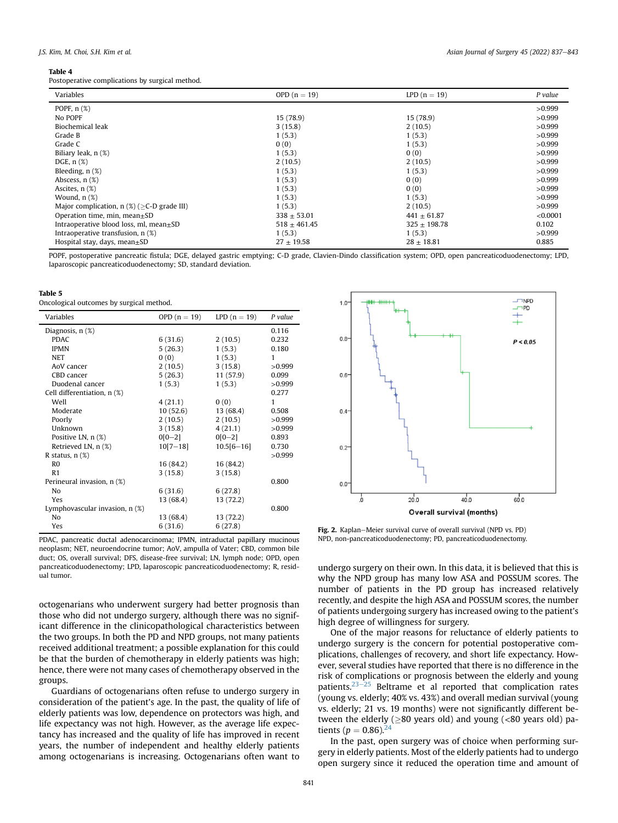#### <span id="page-4-0"></span>Table 4

Postoperative complications by surgical method.

| Variables                                        | OPD $(n = 19)$   | $LPD(n = 19)$    | P value  |
|--------------------------------------------------|------------------|------------------|----------|
| POPF, $n$ $(\%)$                                 |                  |                  | >0.999   |
| No POPF                                          | 15 (78.9)        | 15(78.9)         | >0.999   |
| Biochemical leak                                 | 3(15.8)          | 2(10.5)          | >0.999   |
| Grade B                                          | 1(5.3)           | 1(5.3)           | >0.999   |
| Grade C                                          | 0(0)             | 1(5.3)           | >0.999   |
| Biliary leak, n (%)                              | 1(5.3)           | 0(0)             | >0.999   |
| DGE, $n$ $(\%)$                                  | 2(10.5)          | 2(10.5)          | >0.999   |
| Bleeding, $n$ $(\%)$                             | 1(5.3)           | 1(5.3)           | >0.999   |
| Abscess, $n$ $(\%)$                              | 1(5.3)           | 0(0)             | >0.999   |
| Ascites, $n$ $(\%)$                              | 1(5.3)           | 0(0)             | >0.999   |
| Wound, $n$ $(\%)$                                | 1(5.3)           | 1(5.3)           | >0.999   |
| Major complication, $n$ (%) ( $>C$ -D grade III) | 1(5.3)           | 2(10.5)          | >0.999   |
| Operation time, min, mean $\pm$ SD               | $338 \pm 53.01$  | $441 \pm 61.87$  | < 0.0001 |
| Intraoperative blood loss, ml, $mean \pm SD$     | $518 \pm 461.45$ | $325 \pm 198.78$ | 0.102    |
| Intraoperative transfusion, n (%)                | 1(5.3)           | 1(5.3)           | >0.999   |
| Hospital stay, days, mean $\pm$ SD               | $27 \pm 19.58$   | $28 \pm 18.81$   | 0.885    |

POPF, postoperative pancreatic fistula; DGE, delayed gastric emptying; C-D grade, Clavien-Dindo classification system; OPD, open pancreaticoduodenectomy; LPD, laparoscopic pancreaticoduodenectomy; SD, standard deviation.

<span id="page-4-1"></span>

| ×<br>. . | н<br>۹ | $\sim$ | ٧ |
|----------|--------|--------|---|
|          |        |        |   |

Oncological outcomes by surgical method.

| Variables                      | OPD $(n = 19)$ | $LPD(n = 19)$  | P value      |
|--------------------------------|----------------|----------------|--------------|
| Diagnosis, n (%)               |                |                | 0.116        |
| <b>PDAC</b>                    | 6(31.6)        | 2(10.5)        | 0.232        |
| <b>IPMN</b>                    | 5(26.3)        | 1(5.3)         | 0.180        |
| <b>NET</b>                     | 0(0)           | 1(5.3)         | 1            |
| AoV cancer                     | 2(10.5)        | 3(15.8)        | >0.999       |
| CBD cancer                     | 5(26.3)        | 11(57.9)       | 0.099        |
| Duodenal cancer                | 1(5.3)         | 1(5.3)         | >0.999       |
| Cell differentiation, n (%)    |                |                | 0.277        |
| Well                           | 4(21.1)        | 0(0)           | $\mathbf{1}$ |
| Moderate                       | 10(52.6)       | 13 (68.4)      | 0.508        |
| Poorly                         | 2(10.5)        | 2(10.5)        | >0.999       |
| Unknown                        | 3(15.8)        | 4(21.1)        | >0.999       |
| Positive LN, n (%)             | $0[0-2]$       | $0[0-2]$       | 0.893        |
| Retrieved LN, n (%)            | $10[7 - 18]$   | $10.5[6 - 16]$ | 0.730        |
| R status, $n$ $(\%)$           |                |                | >0.999       |
| R <sub>0</sub>                 | 16 (84.2)      | 16 (84.2)      |              |
| R <sub>1</sub>                 | 3(15.8)        | 3(15.8)        |              |
| Perineural invasion, n (%)     |                |                | 0.800        |
| No                             | 6(31.6)        | 6(27.8)        |              |
| Yes                            | 13 (68.4)      | 13 (72.2)      |              |
| Lymphovascular invasion, n (%) |                |                | 0.800        |
| No                             | 13 (68.4)      | 13 (72.2)      |              |
| Yes                            | 6(31.6)        | 6(27.8)        |              |

PDAC, pancreatic ductal adenocarcinoma; IPMN, intraductal papillary mucinous neoplasm; NET, neuroendocrine tumor; AoV, ampulla of Vater; CBD, common bile duct; OS, overall survival; DFS, disease-free survival; LN, lymph node; OPD, open pancreaticoduodenectomy; LPD, laparoscopic pancreaticoduodenectomy; R, residual tumor.

octogenarians who underwent surgery had better prognosis than those who did not undergo surgery, although there was no significant difference in the clinicopathological characteristics between the two groups. In both the PD and NPD groups, not many patients received additional treatment; a possible explanation for this could be that the burden of chemotherapy in elderly patients was high; hence, there were not many cases of chemotherapy observed in the groups.

Guardians of octogenarians often refuse to undergo surgery in consideration of the patient's age. In the past, the quality of life of elderly patients was low, dependence on protectors was high, and life expectancy was not high. However, as the average life expectancy has increased and the quality of life has improved in recent years, the number of independent and healthy elderly patients among octogenarians is increasing. Octogenarians often want to

<span id="page-4-2"></span>

Fig. 2. Kaplan–Meier survival curve of overall survival (NPD vs. PD) NPD, non-pancreaticoduodenectomy; PD, pancreaticoduodenectomy.

undergo surgery on their own. In this data, it is believed that this is why the NPD group has many low ASA and POSSUM scores. The number of patients in the PD group has increased relatively recently, and despite the high ASA and POSSUM scores, the number of patients undergoing surgery has increased owing to the patient's high degree of willingness for surgery.

One of the major reasons for reluctance of elderly patients to undergo surgery is the concern for potential postoperative complications, challenges of recovery, and short life expectancy. However, several studies have reported that there is no difference in the risk of complications or prognosis between the elderly and young patients. $23-25$  $23-25$  $23-25$  Beltrame et al reported that complication rates (young vs. elderly; 40% vs. 43%) and overall median survival (young vs. elderly; 21 vs. 19 months) were not significantly different between the elderly ( $\geq$ 80 years old) and young (<80 years old) patients ( $p = 0.86$ ).<sup>2</sup>

In the past, open surgery was of choice when performing surgery in elderly patients. Most of the elderly patients had to undergo open surgery since it reduced the operation time and amount of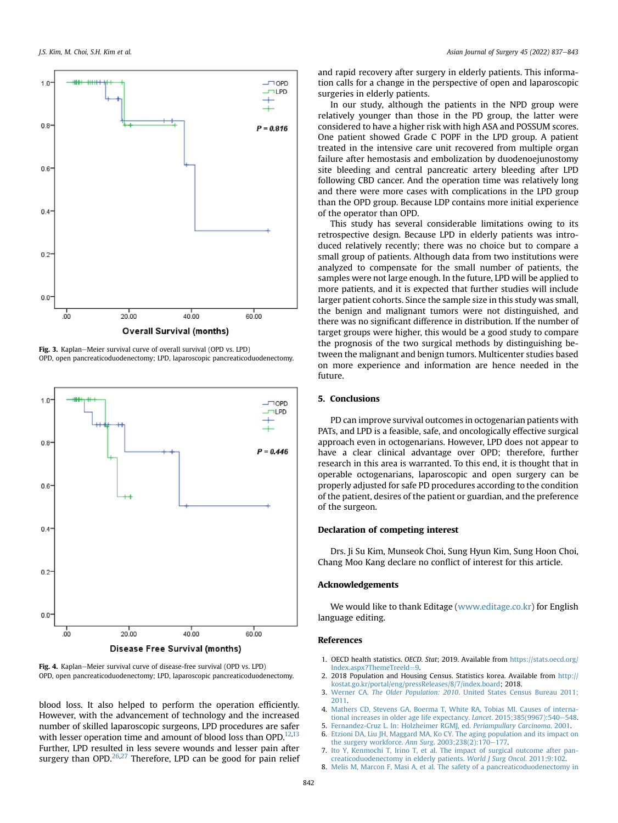<span id="page-5-7"></span>

Fig. 3. Kaplan-Meier survival curve of overall survival (OPD vs. LPD) OPD, open pancreaticoduodenectomy; LPD, laparoscopic pancreaticoduodenectomy.



Fig. 4. Kaplan-Meier survival curve of disease-free survival (OPD vs. LPD) OPD, open pancreaticoduodenectomy; LPD, laparoscopic pancreaticoduodenectomy.

blood loss. It also helped to perform the operation efficiently. However, with the advancement of technology and the increased number of skilled laparoscopic surgeons, LPD procedures are safer with lesser operation time and amount of blood loss than OPD.<sup>[12](#page-6-2)[,13](#page-6-3)</sup> Further, LPD resulted in less severe wounds and lesser pain after surgery than OPD. $^{26,27}$  $^{26,27}$  $^{26,27}$  $^{26,27}$  Therefore, LPD can be good for pain relief and rapid recovery after surgery in elderly patients. This information calls for a change in the perspective of open and laparoscopic surgeries in elderly patients.

In our study, although the patients in the NPD group were relatively younger than those in the PD group, the latter were considered to have a higher risk with high ASA and POSSUM scores. One patient showed Grade C POPF in the LPD group. A patient treated in the intensive care unit recovered from multiple organ failure after hemostasis and embolization by duodenoejunostomy site bleeding and central pancreatic artery bleeding after LPD following CBD cancer. And the operation time was relatively long and there were more cases with complications in the LPD group than the OPD group. Because LDP contains more initial experience of the operator than OPD.

This study has several considerable limitations owing to its retrospective design. Because LPD in elderly patients was introduced relatively recently; there was no choice but to compare a small group of patients. Although data from two institutions were analyzed to compensate for the small number of patients, the samples were not large enough. In the future, LPD will be applied to more patients, and it is expected that further studies will include larger patient cohorts. Since the sample size in this study was small, the benign and malignant tumors were not distinguished, and there was no significant difference in distribution. If the number of target groups were higher, this would be a good study to compare the prognosis of the two surgical methods by distinguishing between the malignant and benign tumors. Multicenter studies based on more experience and information are hence needed in the future.

## 5. Conclusions

PD can improve survival outcomes in octogenarian patients with PATs, and LPD is a feasible, safe, and oncologically effective surgical approach even in octogenarians. However, LPD does not appear to have a clear clinical advantage over OPD; therefore, further research in this area is warranted. To this end, it is thought that in operable octogenarians, laparoscopic and open surgery can be properly adjusted for safe PD procedures according to the condition of the patient, desires of the patient or guardian, and the preference of the surgeon.

# Declaration of competing interest

Drs. Ji Su Kim, Munseok Choi, Sung Hyun Kim, Sung Hoon Choi, Chang Moo Kang declare no conflict of interest for this article.

## Acknowledgements

We would like to thank Editage ([www.editage.co.kr](http://www.editage.co.kr)) for English language editing.

## References

- <span id="page-5-0"></span>1. OECD health statistics. OECD. Stat; 2019. Available from [https://stats.oecd.org/](https://stats.oecd.org/Index.aspx?ThemeTreeId=9) [Index.aspx?ThemeTreeId](https://stats.oecd.org/Index.aspx?ThemeTreeId=9)=[9.](https://stats.oecd.org/Index.aspx?ThemeTreeId=9)
- <span id="page-5-1"></span>2. 2018 Population and Housing Census. Statistics korea. Available from [http://](http://kostat.go.kr/portal/eng/pressReleases/8/7/index.board) [kostat.go.kr/portal/eng/pressReleases/8/7/index.board](http://kostat.go.kr/portal/eng/pressReleases/8/7/index.board); 2018.
- <span id="page-5-2"></span>3. Werner CA. The Older Population: 2010[. United States Census Bureau 2011;](http://refhub.elsevier.com/S1015-9584(21)00609-6/sref3) [2011](http://refhub.elsevier.com/S1015-9584(21)00609-6/sref3).
- <span id="page-5-3"></span>4. [Mathers CD, Stevens GA, Boerma T, White RA, Tobias MI. Causes of interna](http://refhub.elsevier.com/S1015-9584(21)00609-6/sref4)[tional increases in older age life expectancy.](http://refhub.elsevier.com/S1015-9584(21)00609-6/sref4) Lancet.  $2015;385(9967);540-548$  $2015;385(9967);540-548$ .
- <span id="page-5-5"></span><span id="page-5-4"></span>5. [Fernandez-Cruz L. In: Holzheimer RGMJ, ed.](http://refhub.elsevier.com/S1015-9584(21)00609-6/sref5) Periampullary Carcinoma. 2001.
- 6. [Etzioni DA, Liu JH, Maggard MA, Ko CY. The aging population and its impact on](http://refhub.elsevier.com/S1015-9584(21)00609-6/sref6) [the surgery workforce.](http://refhub.elsevier.com/S1015-9584(21)00609-6/sref6) Ann Surg. 2003;238(2):170-[177](http://refhub.elsevier.com/S1015-9584(21)00609-6/sref6).
- <span id="page-5-6"></span>7. [Ito Y, Kenmochi T, Irino T, et al. The impact of surgical outcome after pan](http://refhub.elsevier.com/S1015-9584(21)00609-6/sref7)[creaticoduodenectomy in elderly patients.](http://refhub.elsevier.com/S1015-9584(21)00609-6/sref7) World J Surg Oncol. 2011;9:102.
- 8. [Melis M, Marcon F, Masi A, et al. The safety of a pancreaticoduodenectomy in](http://refhub.elsevier.com/S1015-9584(21)00609-6/sref8)